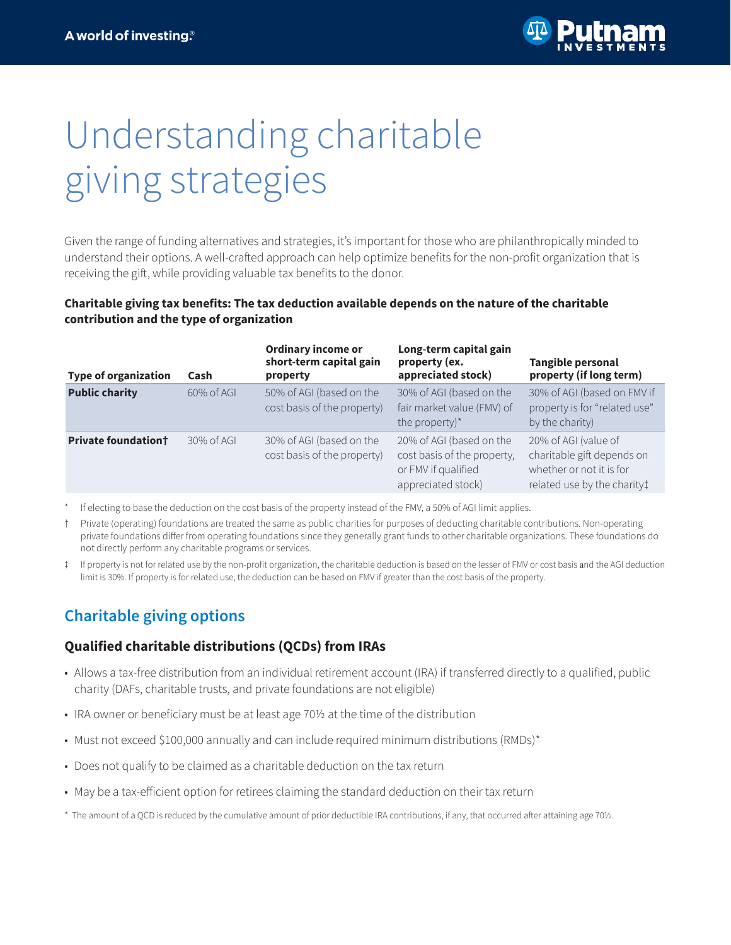

# Understanding charitable giving strategies

Given the range of funding alternatives and strategies, it's important for those who are philanthropically minded to understand their options. A well-crafted approach can help optimize benefits for the non-profit organization that is receiving the gift, while providing valuable tax benefits to the donor.

#### **Charitable giving tax benefits: The tax deduction available depends on the nature of the charitable contribution and the type of organization**

| <b>Type of organization</b> | Cash       | <b>Ordinary income or</b><br>short-term capital gain<br>property | Long-term capital gain<br>property (ex.<br>appreciated stock)                                        | <b>Tangible personal</b><br>property (if long term)                                                           |
|-----------------------------|------------|------------------------------------------------------------------|------------------------------------------------------------------------------------------------------|---------------------------------------------------------------------------------------------------------------|
| <b>Public charity</b>       | 60% of AGI | 50% of AGI (based on the<br>cost basis of the property)          | 30% of AGI (based on the<br>fair market value (FMV) of<br>the property)*                             | 30% of AGI (based on FMV if<br>property is for "related use"<br>by the charity)                               |
| <b>Private foundationt</b>  | 30% of AGI | 30% of AGI (based on the<br>cost basis of the property)          | 20% of AGI (based on the<br>cost basis of the property,<br>or FMV if qualified<br>appreciated stock) | 20% of AGI (value of<br>charitable gift depends on<br>whether or not it is for<br>related use by the charity! |

If electing to base the deduction on the cost basis of the property instead of the FMV, a 50% of AGI limit applies.

† Private (operating) foundations are treated the same as public charities for purposes of deducting charitable contributions. Non-operating private foundations differ from operating foundations since they generally grant funds to other charitable organizations. These foundations do not directly perform any charitable programs or services.

‡ If property is not for related use by the non-profit organization, the charitable deduction is based on the lesser of FMV or cost basis and the AGI deduction limit is 30%. If property is for related use, the deduction can be based on FMV if greater than the cost basis of the property.

# **Charitable giving options**

#### **Qualified charitable distributions (QCDs) from IRAs**

- Allows a tax-free distribution from an individual retirement account (IRA) if transferred directly to a qualified, public charity (DAFs, charitable trusts, and private foundations are not eligible)
- IRA owner or beneficiary must be at least age 70½ at the time of the distribution
- Must not exceed \$100,000 annually and can include required minimum distributions (RMDs)\*
- Does not qualify to be claimed as a charitable deduction on the tax return
- May be a tax-efficient option for retirees claiming the standard deduction on their tax return
- \* The amount of a QCD is reduced by the cumulative amount of prior deductible IRA contributions, if any, that occurred after attaining age 70½.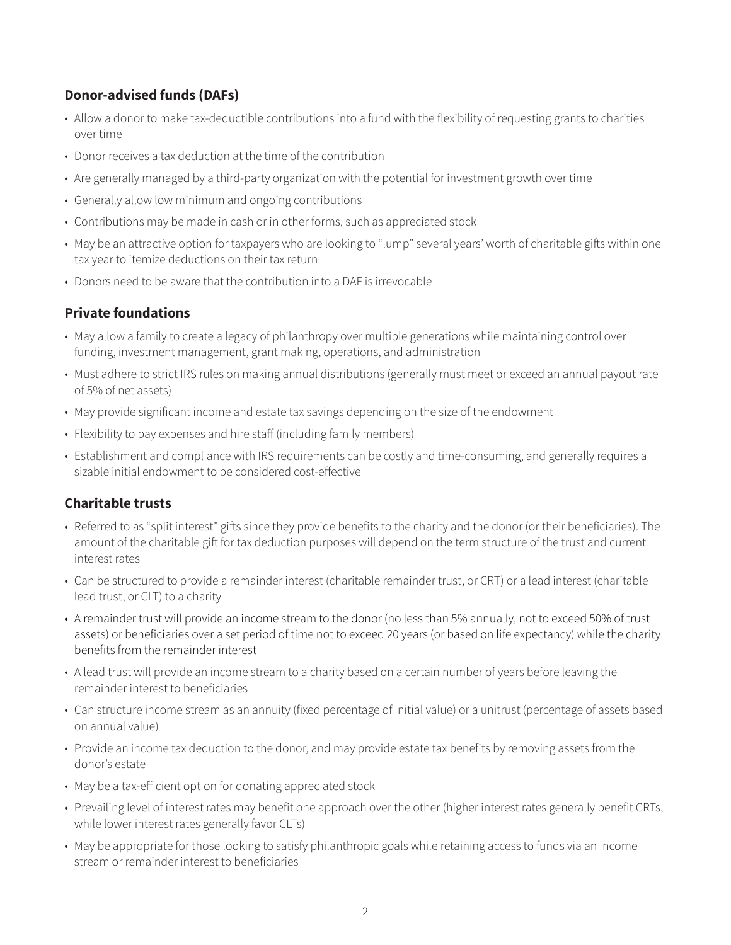## **Donor-advised funds (DAFs)**

- Allow a donor to make tax-deductible contributions into a fund with the flexibility of requesting grants to charities over time
- Donor receives a tax deduction at the time of the contribution
- Are generally managed by a third-party organization with the potential for investment growth over time
- Generally allow low minimum and ongoing contributions
- Contributions may be made in cash or in other forms, such as appreciated stock
- May be an attractive option for taxpayers who are looking to "lump" several years' worth of charitable gifts within one tax year to itemize deductions on their tax return
- Donors need to be aware that the contribution into a DAF is irrevocable

### **Private foundations**

- May allow a family to create a legacy of philanthropy over multiple generations while maintaining control over funding, investment management, grant making, operations, and administration
- Must adhere to strict IRS rules on making annual distributions (generally must meet or exceed an annual payout rate of 5% of net assets)
- May provide significant income and estate tax savings depending on the size of the endowment
- Flexibility to pay expenses and hire staff (including family members)
- Establishment and compliance with IRS requirements can be costly and time-consuming, and generally requires a sizable initial endowment to be considered cost-effective

#### **Charitable trusts**

- Referred to as "split interest" gifts since they provide benefits to the charity and the donor (or their beneficiaries). The amount of the charitable gift for tax deduction purposes will depend on the term structure of the trust and current interest rates
- Can be structured to provide a remainder interest (charitable remainder trust, or CRT) or a lead interest (charitable lead trust, or CLT) to a charity
- A remainder trust will provide an income stream to the donor (no less than 5% annually, not to exceed 50% of trust assets) or beneficiaries over a set period of time not to exceed 20 years (or based on life expectancy) while the charity benefits from the remainder interest
- A lead trust will provide an income stream to a charity based on a certain number of years before leaving the remainder interest to beneficiaries
- Can structure income stream as an annuity (fixed percentage of initial value) or a unitrust (percentage of assets based on annual value)
- Provide an income tax deduction to the donor, and may provide estate tax benefits by removing assets from the donor's estate
- May be a tax-efficient option for donating appreciated stock
- Prevailing level of interest rates may benefit one approach over the other (higher interest rates generally benefit CRTs, while lower interest rates generally favor CLTs)
- May be appropriate for those looking to satisfy philanthropic goals while retaining access to funds via an income stream or remainder interest to beneficiaries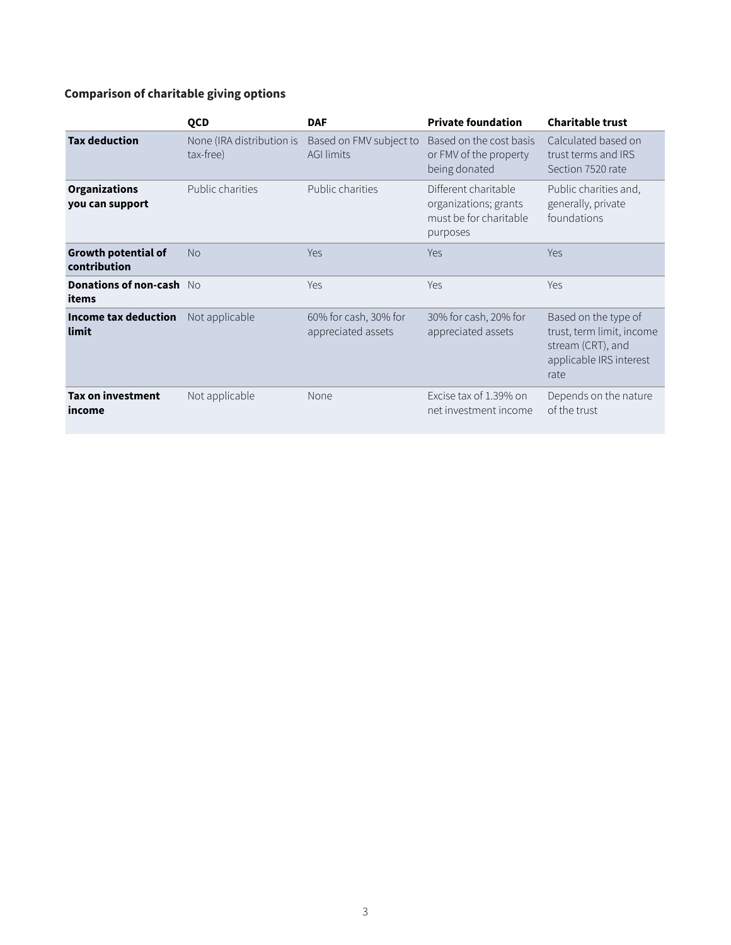## **Comparison of charitable giving options**

|                                            | <b>QCD</b>                             | <b>DAF</b>                                   | <b>Private foundation</b>                                                           | <b>Charitable trust</b>                                                                                   |
|--------------------------------------------|----------------------------------------|----------------------------------------------|-------------------------------------------------------------------------------------|-----------------------------------------------------------------------------------------------------------|
| <b>Tax deduction</b>                       | None (IRA distribution is<br>tax-free) | Based on FMV subject to<br><b>AGI limits</b> | Based on the cost basis<br>or FMV of the property<br>being donated                  | Calculated based on<br>trust terms and IRS<br>Section 7520 rate                                           |
| <b>Organizations</b><br>you can support    | Public charities                       | Public charities                             | Different charitable<br>organizations; grants<br>must be for charitable<br>purposes | Public charities and,<br>generally, private<br>foundations                                                |
| <b>Growth potential of</b><br>contribution | <b>No</b>                              | <b>Yes</b>                                   | Yes                                                                                 | <b>Yes</b>                                                                                                |
| <b>Donations of non-cash</b> No<br>items   |                                        | Yes                                          | Yes                                                                                 | Yes                                                                                                       |
| Income tax deduction<br>limit              | Not applicable                         | 60% for cash, 30% for<br>appreciated assets  | 30% for cash, 20% for<br>appreciated assets                                         | Based on the type of<br>trust, term limit, income<br>stream (CRT), and<br>applicable IRS interest<br>rate |
| <b>Tax on investment</b><br>income         | Not applicable                         | None                                         | Excise tax of 1.39% on<br>net investment income                                     | Depends on the nature<br>of the trust                                                                     |